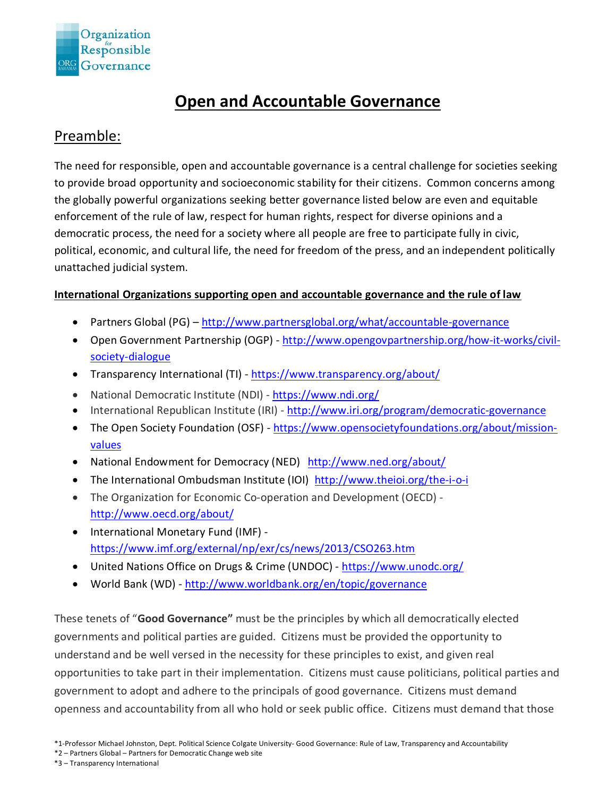

## **Open and Accountable Governance**

#### Preamble:

The need for responsible, open and accountable governance is a central challenge for societies seeking to provide broad opportunity and socioeconomic stability for their citizens. Common concerns among the globally powerful organizations seeking better governance listed below are even and equitable enforcement of the rule of law, respect for human rights, respect for diverse opinions and a democratic process, the need for a society where all people are free to participate fully in civic, political, economic, and cultural life, the need for freedom of the press, and an independent politically unattached judicial system.

#### **International Organizations supporting open and accountable governance and the rule of law**

- Partners Global (PG) <http://www.partnersglobal.org/what/accountable-governance>
- Open Government Partnership (OGP) [http://www.opengovpartnership.org/how-it-works/civil](http://www.opengovpartnership.org/how-it-works/civil-society-dialogue)[society-dialogue](http://www.opengovpartnership.org/how-it-works/civil-society-dialogue)
- Transparency International (TI) <https://www.transparency.org/about/>
- National Democratic Institute (NDI) <https://www.ndi.org/>
- International Republican Institute (IRI) <http://www.iri.org/program/democratic-governance>
- The Open Society Foundation (OSF) [https://www.opensocietyfoundations.org/about/mission](https://www.opensocietyfoundations.org/about/mission-values)[values](https://www.opensocietyfoundations.org/about/mission-values)
- National Endowment for Democracy (NED) <http://www.ned.org/about/>
- The International Ombudsman Institute (IOI) <http://www.theioi.org/the-i-o-i>
- The Organization for Economic Co-operation and Development (OECD) <http://www.oecd.org/about/>
- International Monetary Fund (IMF) <https://www.imf.org/external/np/exr/cs/news/2013/CSO263.htm>
- United Nations Office on Drugs & Crime (UNDOC) <https://www.unodc.org/>
- World Bank (WD) <http://www.worldbank.org/en/topic/governance>

These tenets of "**Good Governance"** must be the principles by which all democratically elected governments and political parties are guided. Citizens must be provided the opportunity to understand and be well versed in the necessity for these principles to exist, and given real opportunities to take part in their implementation. Citizens must cause politicians, political parties and government to adopt and adhere to the principals of good governance. Citizens must demand openness and accountability from all who hold or seek public office. Citizens must demand that those

- \*2 Partners Global Partners for Democratic Change web site
- \*3 Transparency International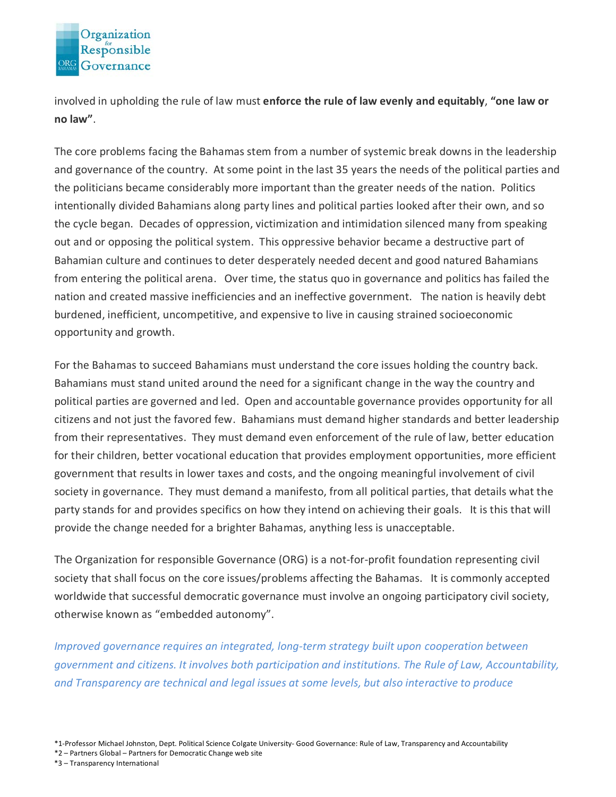

involved in upholding the rule of law must **enforce the rule of law evenly and equitably**, **"one law or no law"**.

The core problems facing the Bahamas stem from a number of systemic break downs in the leadership and governance of the country. At some point in the last 35 years the needs of the political parties and the politicians became considerably more important than the greater needs of the nation. Politics intentionally divided Bahamians along party lines and political parties looked after their own, and so the cycle began. Decades of oppression, victimization and intimidation silenced many from speaking out and or opposing the political system. This oppressive behavior became a destructive part of Bahamian culture and continues to deter desperately needed decent and good natured Bahamians from entering the political arena. Over time, the status quo in governance and politics has failed the nation and created massive inefficiencies and an ineffective government. The nation is heavily debt burdened, inefficient, uncompetitive, and expensive to live in causing strained socioeconomic opportunity and growth.

For the Bahamas to succeed Bahamians must understand the core issues holding the country back. Bahamians must stand united around the need for a significant change in the way the country and political parties are governed and led. Open and accountable governance provides opportunity for all citizens and not just the favored few. Bahamians must demand higher standards and better leadership from their representatives. They must demand even enforcement of the rule of law, better education for their children, better vocational education that provides employment opportunities, more efficient government that results in lower taxes and costs, and the ongoing meaningful involvement of civil society in governance. They must demand a manifesto, from all political parties, that details what the party stands for and provides specifics on how they intend on achieving their goals. It is this that will provide the change needed for a brighter Bahamas, anything less is unacceptable.

The Organization for responsible Governance (ORG) is a not-for-profit foundation representing civil society that shall focus on the core issues/problems affecting the Bahamas. It is commonly accepted worldwide that successful democratic governance must involve an ongoing participatory civil society, otherwise known as "embedded autonomy".

*Improved governance requires an integrated, long-term strategy built upon cooperation between government and citizens. It involves both participation and institutions. The Rule of Law, Accountability, and Transparency are technical and legal issues at some levels, but also interactive to produce* 

\*2 – Partners Global – Partners for Democratic Change web site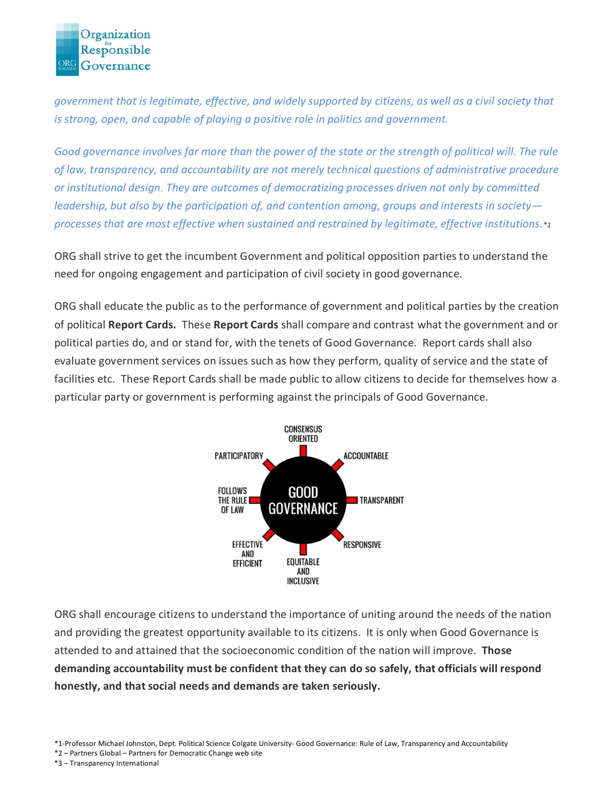

*government that is legitimate, effective, and widely supported by citizens, as well as a civil society that is strong, open, and capable of playing a positive role in politics and government.*

*Good governance involves far more than the power of the state or the strength of political will. The rule of law, transparency, and accountability are not merely technical questions of administrative procedure or institutional design. They are outcomes of democratizing processes driven not only by committed leadership, but also by the participation of, and contention among, groups and interests in society processes that are most effective when sustained and restrained by legitimate, effective institutions.\*1*

ORG shall strive to get the incumbent Government and political opposition parties to understand the need for ongoing engagement and participation of civil society in good governance.

ORG shall educate the public as to the performance of government and political parties by the creation of political **Report Cards.** These **Report Cards** shall compare and contrast what the government and or political parties do, and or stand for, with the tenets of Good Governance. Report cards shall also evaluate government services on issues such as how they perform, quality of service and the state of facilities etc. These Report Cards shall be made public to allow citizens to decide for themselves how a particular party or government is performing against the principals of Good Governance.



ORG shall encourage citizens to understand the importance of uniting around the needs of the nation and providing the greatest opportunity available to its citizens. It is only when Good Governance is attended to and attained that the socioeconomic condition of the nation will improve. **Those demanding accountability must be confident that they can do so safely, that officials will respond honestly, and that social needs and demands are taken seriously.**

\*1-Professor Michael Johnston, Dept. Political Science Colgate University- Good Governance: Rule of Law, Transparency and Accountability

\*2 – Partners Global – Partners for Democratic Change web site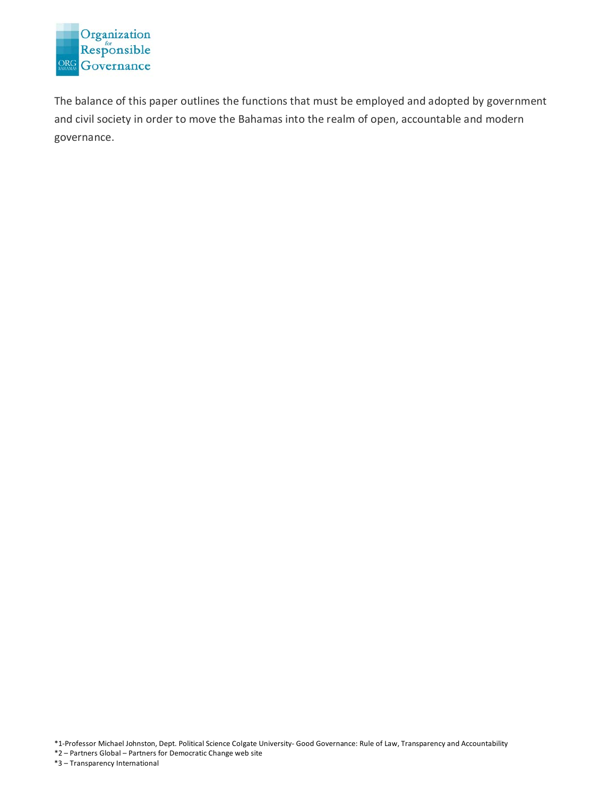

The balance of this paper outlines the functions that must be employed and adopted by government and civil society in order to move the Bahamas into the realm of open, accountable and modern governance.

\*1-Professor Michael Johnston, Dept. Political Science Colgate University- Good Governance: Rule of Law, Transparency and Accountability

\*2 – Partners Global – Partners for Democratic Change web site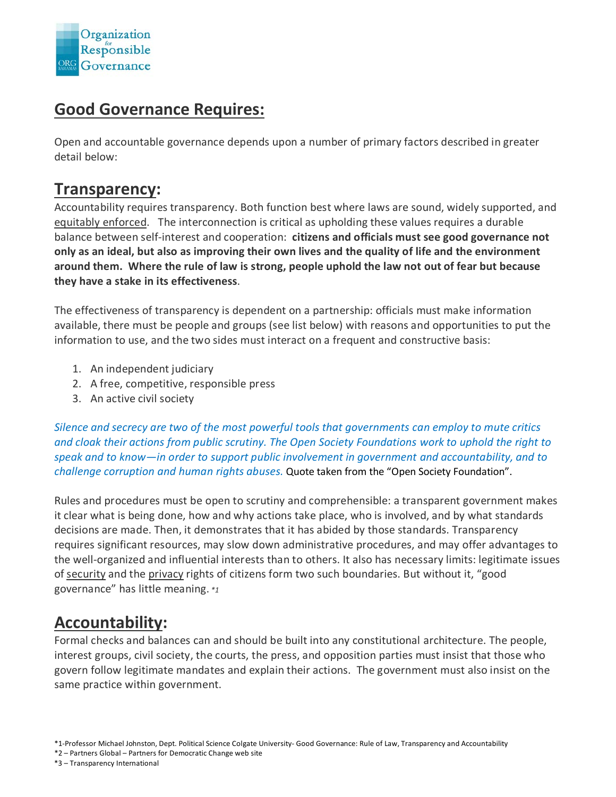

### **Good Governance Requires:**

Open and accountable governance depends upon a number of primary factors described in greater detail below:

#### **Transparency:**

Accountability requires transparency. Both function best where laws are sound, widely supported, and equitably enforced. The interconnection is critical as upholding these values requires a durable balance between self-interest and cooperation: **citizens and officials must see good governance not only as an ideal, but also as improving their own lives and the quality of life and the environment around them. Where the rule of law is strong, people uphold the law not out of fear but because they have a stake in its effectiveness**.

The effectiveness of transparency is dependent on a partnership: officials must make information available, there must be people and groups (see list below) with reasons and opportunities to put the information to use, and the two sides must interact on a frequent and constructive basis:

- 1. An independent judiciary
- 2. A free, competitive, responsible press
- 3. An active civil society

*Silence and secrecy are two of the most powerful tools that governments can employ to mute critics and cloak their actions from public scrutiny. The Open Society Foundations work to uphold the right to speak and to know—in order to support public involvement in government and accountability, and to challenge corruption and human rights abuses.* Quote taken from the "Open Society Foundation".

Rules and procedures must be open to scrutiny and comprehensible: a transparent government makes it clear what is being done, how and why actions take place, who is involved, and by what standards decisions are made. Then, it demonstrates that it has abided by those standards. Transparency requires significant resources, may slow down administrative procedures, and may offer advantages to the well-organized and influential interests than to others. It also has necessary limits: legitimate issues of security and the privacy rights of citizens form two such boundaries. But without it, "good governance" has little meaning. *\*1*

### **Accountability:**

Formal checks and balances can and should be built into any constitutional architecture. The people, interest groups, civil society, the courts, the press, and opposition parties must insist that those who govern follow legitimate mandates and explain their actions. The government must also insist on the same practice within government.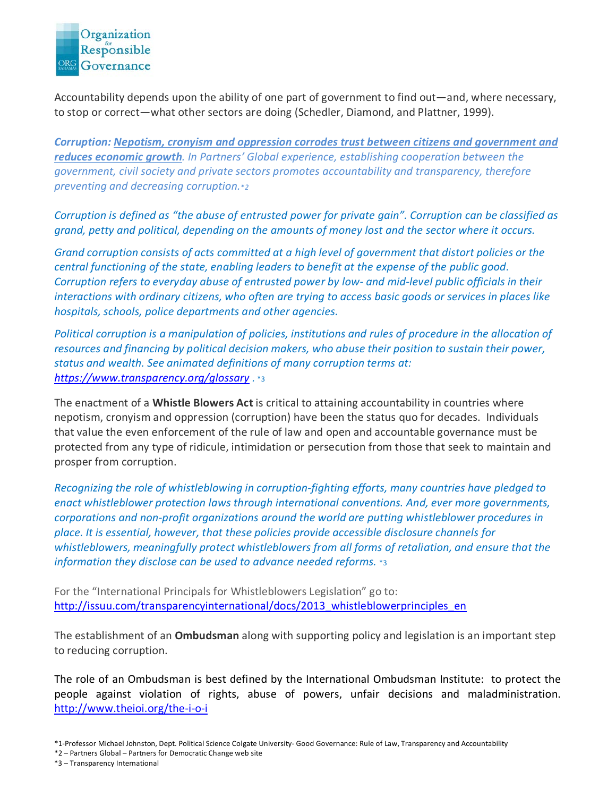

Accountability depends upon the ability of one part of government to find out—and, where necessary, to stop or correct—what other sectors are doing (Schedler, Diamond, and Plattner, 1999).

*Corruption: Nepotism, cronyism and oppression corrodes trust between citizens and government and reduces economic growth. In Partners' Global experience, establishing cooperation between the government, civil society and private sectors promotes accountability and transparency, therefore preventing and decreasing corruption.\*2*

*Corruption is defined as "the abuse of entrusted power for private gain". Corruption can be classified as grand, petty and political, depending on the amounts of money lost and the sector where it occurs.*

*Grand corruption consists of acts committed at a high level of government that distort policies or the central functioning of the state, enabling leaders to benefit at the expense of the public good. Corruption refers to everyday abuse of entrusted power by low- and mid-level public officials in their interactions with ordinary citizens, who often are trying to access basic goods or services in places like hospitals, schools, police departments and other agencies.*

*Political corruption is a manipulation of policies, institutions and rules of procedure in the allocation of resources and financing by political decision makers, who abuse their position to sustain their power, status and wealth. See animated definitions of many corruption terms at: <https://www.transparency.org/glossary> .* \*3

The enactment of a **Whistle Blowers Act** is critical to attaining accountability in countries where nepotism, cronyism and oppression (corruption) have been the status quo for decades. Individuals that value the even enforcement of the rule of law and open and accountable governance must be protected from any type of ridicule, intimidation or persecution from those that seek to maintain and prosper from corruption.

*Recognizing the role of whistleblowing in corruption-fighting efforts, many countries have pledged to enact whistleblower protection laws through international conventions. And, ever more governments, corporations and non-profit organizations around the world are putting whistleblower procedures in place. It is essential, however, that these policies provide accessible disclosure channels for whistleblowers, meaningfully protect whistleblowers from all forms of retaliation, and ensure that the information they disclose can be used to advance needed reforms.* \*3

For the "International Principals for Whistleblowers Legislation" go to: [http://issuu.com/transparencyinternational/docs/2013\\_whistleblowerprinciples\\_en](http://issuu.com/transparencyinternational/docs/2013_whistleblowerprinciples_en)

The establishment of an **Ombudsman** along with supporting policy and legislation is an important step to reducing corruption.

The role of an Ombudsman is best defined by the International Ombudsman Institute: to protect the people against violation of rights, abuse of powers, unfair decisions and maladministration. <http://www.theioi.org/the-i-o-i>

\*2 – Partners Global – Partners for Democratic Change web site

<sup>\*1-</sup>Professor Michael Johnston, Dept. Political Science Colgate University- Good Governance: Rule of Law, Transparency and Accountability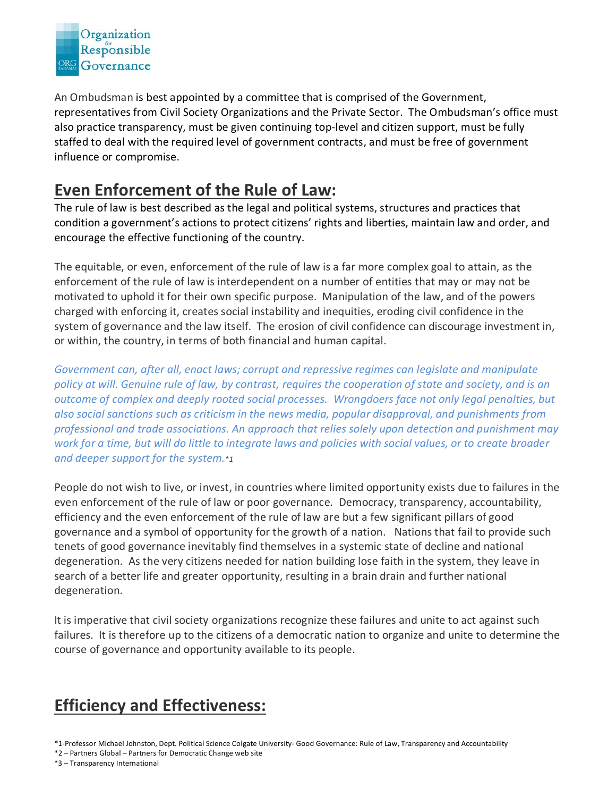

An Ombudsman is best appointed by a committee that is comprised of the Government, representatives from Civil Society Organizations and the Private Sector. The Ombudsman's office must also practice transparency, must be given continuing top-level and citizen support, must be fully staffed to deal with the required level of government contracts, and must be free of government influence or compromise.

## **Even Enforcement of the Rule of Law:**

The rule of law is best described as the legal and political systems, structures and practices that condition a government's actions to protect citizens' rights and liberties, maintain law and order, and encourage the effective functioning of the country.

The equitable, or even, enforcement of the rule of law is a far more complex goal to attain, as the enforcement of the rule of law is interdependent on a number of entities that may or may not be motivated to uphold it for their own specific purpose. Manipulation of the law, and of the powers charged with enforcing it, creates social instability and inequities, eroding civil confidence in the system of governance and the law itself. The erosion of civil confidence can discourage investment in, or within, the country, in terms of both financial and human capital.

*Government can, after all, enact laws; corrupt and repressive regimes can legislate and manipulate policy at will. Genuine rule of law, by contrast, requires the cooperation of state and society, and is an outcome of complex and deeply rooted social processes. Wrongdoers face not only legal penalties, but also social sanctions such as criticism in the news media, popular disapproval, and punishments from professional and trade associations. An approach that relies solely upon detection and punishment may work for a time, but will do little to integrate laws and policies with social values, or to create broader and deeper support for the system.\*1*

People do not wish to live, or invest, in countries where limited opportunity exists due to failures in the even enforcement of the rule of law or poor governance. Democracy, transparency, accountability, efficiency and the even enforcement of the rule of law are but a few significant pillars of good governance and a symbol of opportunity for the growth of a nation. Nations that fail to provide such tenets of good governance inevitably find themselves in a systemic state of decline and national degeneration. As the very citizens needed for nation building lose faith in the system, they leave in search of a better life and greater opportunity, resulting in a brain drain and further national degeneration.

It is imperative that civil society organizations recognize these failures and unite to act against such failures. It is therefore up to the citizens of a democratic nation to organize and unite to determine the course of governance and opportunity available to its people.

## **Efficiency and Effectiveness:**

\*1-Professor Michael Johnston, Dept. Political Science Colgate University- Good Governance: Rule of Law, Transparency and Accountability

\*2 – Partners Global – Partners for Democratic Change web site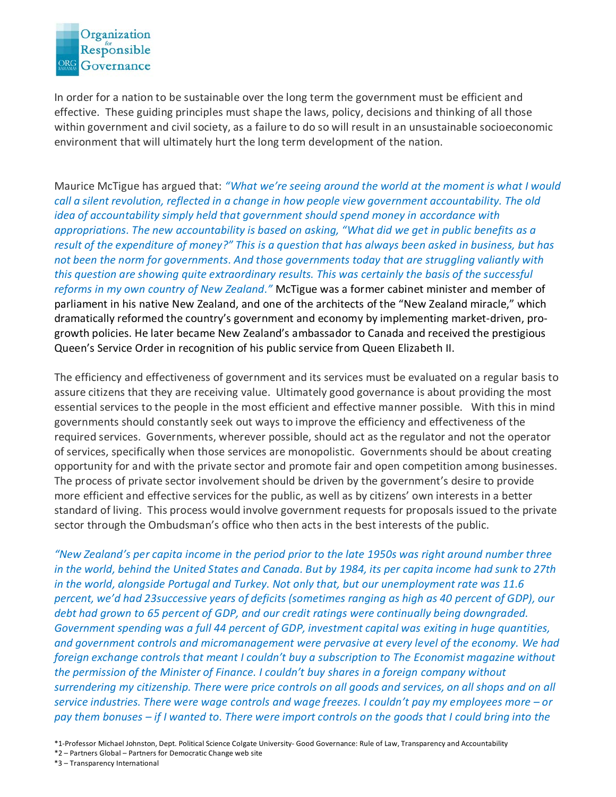

In order for a nation to be sustainable over the long term the government must be efficient and effective. These guiding principles must shape the laws, policy, decisions and thinking of all those within government and civil society, as a failure to do so will result in an unsustainable socioeconomic environment that will ultimately hurt the long term development of the nation.

Maurice McTigue has argued that: *"What we're seeing around the world at the moment is what I would call a silent revolution, reflected in a change in how people view government accountability. The old idea of accountability simply held that government should spend money in accordance with appropriations. The new accountability is based on asking, "What did we get in public benefits as a result of the expenditure of money?" This is a question that has always been asked in business, but has not been the norm for governments. And those governments today that are struggling valiantly with this question are showing quite extraordinary results. This was certainly the basis of the successful reforms in my own country of New Zealand."* McTigue was a former cabinet minister and member of parliament in his native New Zealand, and one of the architects of the "New Zealand miracle," which dramatically reformed the country's government and economy by implementing market-driven, progrowth policies. He later became New Zealand's ambassador to Canada and received the prestigious Queen's Service Order in recognition of his public service from Queen Elizabeth II.

The efficiency and effectiveness of government and its services must be evaluated on a regular basis to assure citizens that they are receiving value. Ultimately good governance is about providing the most essential services to the people in the most efficient and effective manner possible. With this in mind governments should constantly seek out ways to improve the efficiency and effectiveness of the required services. Governments, wherever possible, should act as the regulator and not the operator of services, specifically when those services are monopolistic. Governments should be about creating opportunity for and with the private sector and promote fair and open competition among businesses. The process of private sector involvement should be driven by the government's desire to provide more efficient and effective services for the public, as well as by citizens' own interests in a better standard of living. This process would involve government requests for proposals issued to the private sector through the Ombudsman's office who then acts in the best interests of the public.

*"New Zealand's per capita income in the period prior to the late 1950s was right around number three in the world, behind the United States and Canada. But by 1984, its per capita income had sunk to 27th in the world, alongside Portugal and Turkey. Not only that, but our unemployment rate was 11.6 percent, we'd had 23successive years of deficits (sometimes ranging as high as 40 percent of GDP), our debt had grown to 65 percent of GDP, and our credit ratings were continually being downgraded. Government spending was a full 44 percent of GDP, investment capital was exiting in huge quantities, and government controls and micromanagement were pervasive at every level of the economy. We had foreign exchange controls that meant I couldn't buy a subscription to The Economist magazine without the permission of the Minister of Finance. I couldn't buy shares in a foreign company without surrendering my citizenship. There were price controls on all goods and services, on all shops and on all service industries. There were wage controls and wage freezes. I couldn't pay my employees more – or pay them bonuses – if I wanted to. There were import controls on the goods that I could bring into the* 

<sup>\*1-</sup>Professor Michael Johnston, Dept. Political Science Colgate University- Good Governance: Rule of Law, Transparency and Accountability

<sup>\*2 –</sup> Partners Global – Partners for Democratic Change web site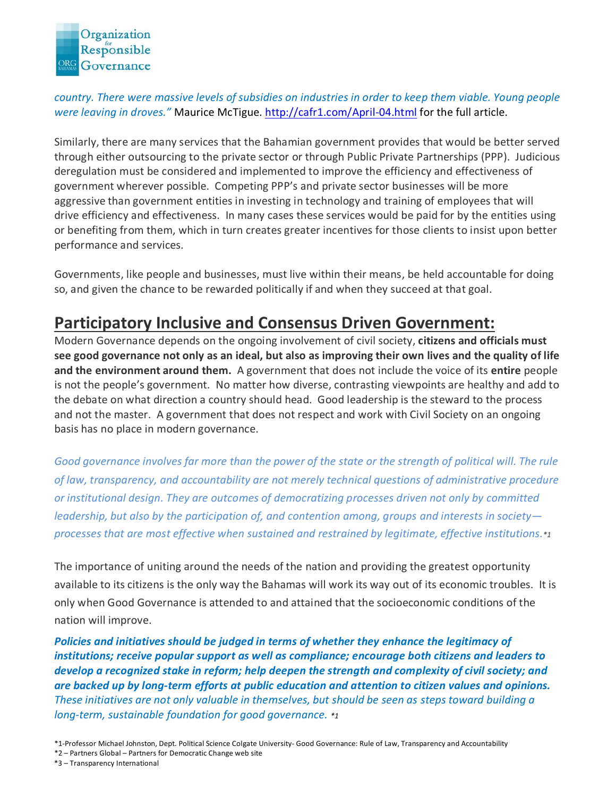

*country. There were massive levels of subsidies on industries in order to keep them viable. Young people were leaving in droves."* Maurice McTigue. <http://cafr1.com/April-04.html> for the full article.

Similarly, there are many services that the Bahamian government provides that would be better served through either outsourcing to the private sector or through Public Private Partnerships (PPP). Judicious deregulation must be considered and implemented to improve the efficiency and effectiveness of government wherever possible. Competing PPP's and private sector businesses will be more aggressive than government entities in investing in technology and training of employees that will drive efficiency and effectiveness. In many cases these services would be paid for by the entities using or benefiting from them, which in turn creates greater incentives for those clients to insist upon better performance and services.

Governments, like people and businesses, must live within their means, be held accountable for doing so, and given the chance to be rewarded politically if and when they succeed at that goal.

### **Participatory Inclusive and Consensus Driven Government:**

Modern Governance depends on the ongoing involvement of civil society, **citizens and officials must see good governance not only as an ideal, but also as improving their own lives and the quality of life and the environment around them.** A government that does not include the voice of its **entire** people is not the people's government. No matter how diverse, contrasting viewpoints are healthy and add to the debate on what direction a country should head. Good leadership is the steward to the process and not the master. A government that does not respect and work with Civil Society on an ongoing basis has no place in modern governance.

*Good governance involves far more than the power of the state or the strength of political will. The rule of law, transparency, and accountability are not merely technical questions of administrative procedure or institutional design. They are outcomes of democratizing processes driven not only by committed leadership, but also by the participation of, and contention among, groups and interests in society processes that are most effective when sustained and restrained by legitimate, effective institutions.\*1*

The importance of uniting around the needs of the nation and providing the greatest opportunity available to its citizens is the only way the Bahamas will work its way out of its economic troubles. It is only when Good Governance is attended to and attained that the socioeconomic conditions of the nation will improve.

*Policies and initiatives should be judged in terms of whether they enhance the legitimacy of institutions; receive popular support as well as compliance; encourage both citizens and leaders to develop a recognized stake in reform; help deepen the strength and complexity of civil society; and are backed up by long-term efforts at public education and attention to citizen values and opinions. These initiatives are not only valuable in themselves, but should be seen as steps toward building a long-term, sustainable foundation for good governance. \*1*

<sup>\*1-</sup>Professor Michael Johnston, Dept. Political Science Colgate University- Good Governance: Rule of Law, Transparency and Accountability

<sup>\*2 –</sup> Partners Global – Partners for Democratic Change web site

<sup>\*3 –</sup> Transparency International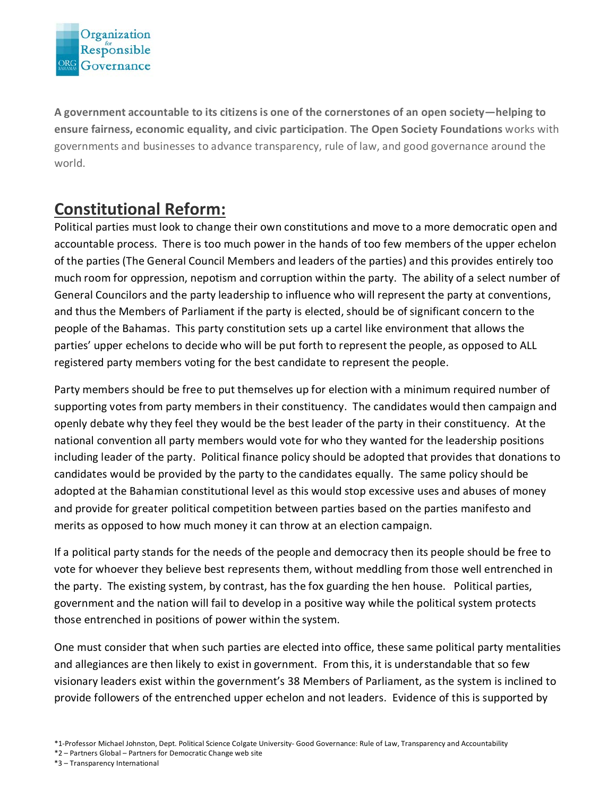

**A government accountable to its citizens is one of the cornerstones of an open society—helping to ensure fairness, economic equality, and civic participation**. **The Open Society Foundations** works with governments and businesses to advance transparency, rule of law, and good governance around the world.

# **Constitutional Reform:**

Political parties must look to change their own constitutions and move to a more democratic open and accountable process. There is too much power in the hands of too few members of the upper echelon of the parties (The General Council Members and leaders of the parties) and this provides entirely too much room for oppression, nepotism and corruption within the party. The ability of a select number of General Councilors and the party leadership to influence who will represent the party at conventions, and thus the Members of Parliament if the party is elected, should be of significant concern to the people of the Bahamas. This party constitution sets up a cartel like environment that allows the parties' upper echelons to decide who will be put forth to represent the people, as opposed to ALL registered party members voting for the best candidate to represent the people.

Party members should be free to put themselves up for election with a minimum required number of supporting votes from party members in their constituency. The candidates would then campaign and openly debate why they feel they would be the best leader of the party in their constituency. At the national convention all party members would vote for who they wanted for the leadership positions including leader of the party. Political finance policy should be adopted that provides that donations to candidates would be provided by the party to the candidates equally. The same policy should be adopted at the Bahamian constitutional level as this would stop excessive uses and abuses of money and provide for greater political competition between parties based on the parties manifesto and merits as opposed to how much money it can throw at an election campaign.

If a political party stands for the needs of the people and democracy then its people should be free to vote for whoever they believe best represents them, without meddling from those well entrenched in the party. The existing system, by contrast, has the fox guarding the hen house. Political parties, government and the nation will fail to develop in a positive way while the political system protects those entrenched in positions of power within the system.

One must consider that when such parties are elected into office, these same political party mentalities and allegiances are then likely to exist in government. From this, it is understandable that so few visionary leaders exist within the government's 38 Members of Parliament, as the system is inclined to provide followers of the entrenched upper echelon and not leaders. Evidence of this is supported by

\*2 – Partners Global – Partners for Democratic Change web site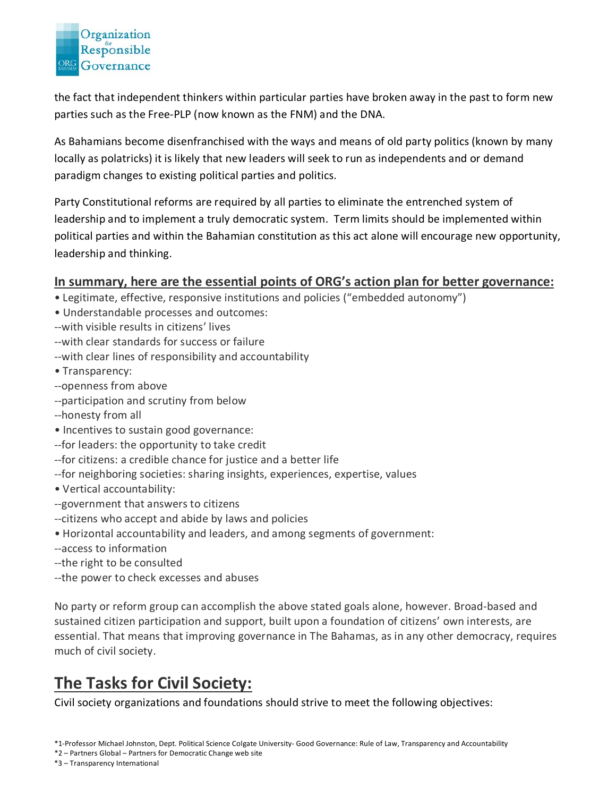

the fact that independent thinkers within particular parties have broken away in the past to form new parties such as the Free-PLP (now known as the FNM) and the DNA.

As Bahamians become disenfranchised with the ways and means of old party politics (known by many locally as polatricks) it is likely that new leaders will seek to run as independents and or demand paradigm changes to existing political parties and politics.

Party Constitutional reforms are required by all parties to eliminate the entrenched system of leadership and to implement a truly democratic system. Term limits should be implemented within political parties and within the Bahamian constitution as this act alone will encourage new opportunity, leadership and thinking.

#### **In summary, here are the essential points of ORG's action plan for better governance:**

- Legitimate, effective, responsive institutions and policies ("embedded autonomy")
- Understandable processes and outcomes:
- --with visible results in citizens' lives
- --with clear standards for success or failure
- --with clear lines of responsibility and accountability
- Transparency:
- --openness from above
- --participation and scrutiny from below
- --honesty from all
- Incentives to sustain good governance:
- --for leaders: the opportunity to take credit
- --for citizens: a credible chance for justice and a better life
- --for neighboring societies: sharing insights, experiences, expertise, values
- Vertical accountability:
- --government that answers to citizens
- --citizens who accept and abide by laws and policies
- Horizontal accountability and leaders, and among segments of government:
- --access to information
- --the right to be consulted
- --the power to check excesses and abuses

No party or reform group can accomplish the above stated goals alone, however. Broad-based and sustained citizen participation and support, built upon a foundation of citizens' own interests, are essential. That means that improving governance in The Bahamas, as in any other democracy, requires much of civil society.

# **The Tasks for Civil Society:**

Civil society organizations and foundations should strive to meet the following objectives: